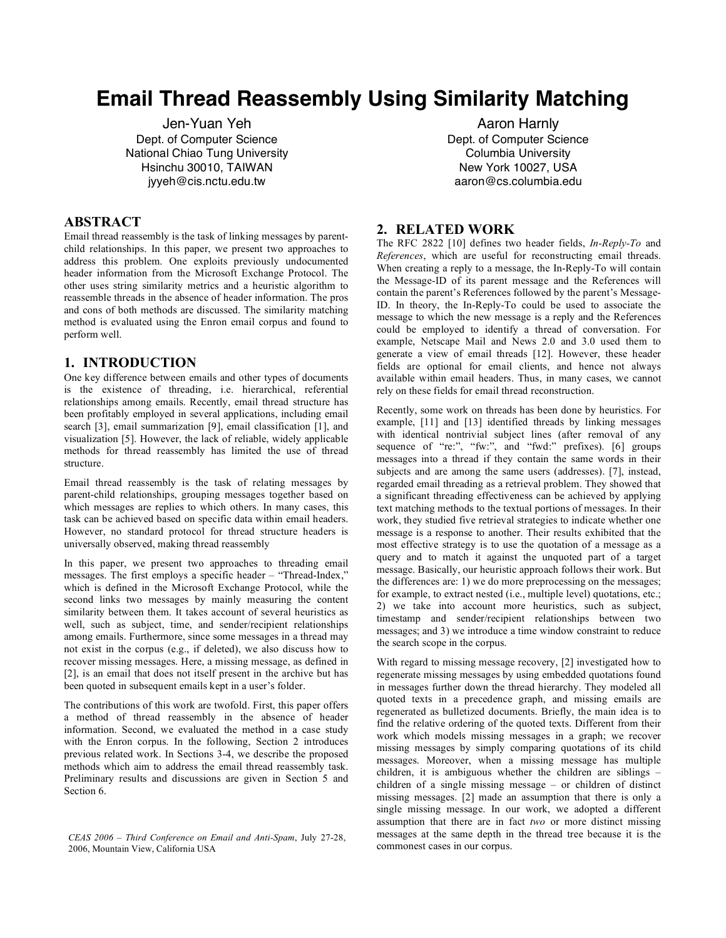# **Email Thread Reassembly Using Similarity Matching**

Jen-Yuan Yeh Dept. of Computer Science National Chiao Tung University Hsinchu 30010, TAIWAN jyyeh@cis.nctu.edu.tw

# **ABSTRACT**

Email thread reassembly is the task of linking messages by parentchild relationships. In this paper, we present two approaches to address this problem. One exploits previously undocumented header information from the Microsoft Exchange Protocol. The other uses string similarity metrics and a heuristic algorithm to reassemble threads in the absence of header information. The pros and cons of both methods are discussed. The similarity matching method is evaluated using the Enron email corpus and found to perform well.

## **1. INTRODUCTION**

One key difference between emails and other types of documents is the existence of threading, i.e. hierarchical, referential relationships among emails. Recently, email thread structure has been profitably employed in several applications, including email search [3], email summarization [9], email classification [1], and visualization [5]. However, the lack of reliable, widely applicable methods for thread reassembly has limited the use of thread structure.

Email thread reassembly is the task of relating messages by parent-child relationships, grouping messages together based on which messages are replies to which others. In many cases, this task can be achieved based on specific data within email headers. However, no standard protocol for thread structure headers is universally observed, making thread reassembly

In this paper, we present two approaches to threading email messages. The first employs a specific header – "Thread-Index," which is defined in the Microsoft Exchange Protocol, while the second links two messages by mainly measuring the content similarity between them. It takes account of several heuristics as well, such as subject, time, and sender/recipient relationships among emails. Furthermore, since some messages in a thread may not exist in the corpus (e.g., if deleted), we also discuss how to recover missing messages. Here, a missing message, as defined in [2], is an email that does not itself present in the archive but has been quoted in subsequent emails kept in a user's folder.

The contributions of this work are twofold. First, this paper offers a method of thread reassembly in the absence of header information. Second, we evaluated the method in a case study with the Enron corpus. In the following, Section 2 introduces previous related work. In Sections 3-4, we describe the proposed methods which aim to address the email thread reassembly task. Preliminary results and discussions are given in Section 5 and Section 6.

Aaron Harnly Dept. of Computer Science Columbia University New York 10027, USA aaron@cs.columbia.edu

# **2. RELATED WORK**

The RFC 2822 [10] defines two header fields, *In-Reply-To* and *References*, which are useful for reconstructing email threads. When creating a reply to a message, the In-Reply-To will contain the Message-ID of its parent message and the References will contain the parent's References followed by the parent's Message-ID. In theory, the In-Reply-To could be used to associate the message to which the new message is a reply and the References could be employed to identify a thread of conversation. For example, Netscape Mail and News 2.0 and 3.0 used them to generate a view of email threads [12]. However, these header fields are optional for email clients, and hence not always available within email headers. Thus, in many cases, we cannot rely on these fields for email thread reconstruction.

Recently, some work on threads has been done by heuristics. For example, [11] and [13] identified threads by linking messages with identical nontrivial subject lines (after removal of any sequence of "re:", "fw:", and "fwd:" prefixes). [6] groups messages into a thread if they contain the same words in their subjects and are among the same users (addresses). [7], instead, regarded email threading as a retrieval problem. They showed that a significant threading effectiveness can be achieved by applying text matching methods to the textual portions of messages. In their work, they studied five retrieval strategies to indicate whether one message is a response to another. Their results exhibited that the most effective strategy is to use the quotation of a message as a query and to match it against the unquoted part of a target message. Basically, our heuristic approach follows their work. But the differences are: 1) we do more preprocessing on the messages; for example, to extract nested (i.e., multiple level) quotations, etc.; 2) we take into account more heuristics, such as subject, timestamp and sender/recipient relationships between two messages; and 3) we introduce a time window constraint to reduce the search scope in the corpus.

With regard to missing message recovery, [2] investigated how to regenerate missing messages by using embedded quotations found in messages further down the thread hierarchy. They modeled all quoted texts in a precedence graph, and missing emails are regenerated as bulletized documents. Briefly, the main idea is to find the relative ordering of the quoted texts. Different from their work which models missing messages in a graph; we recover missing messages by simply comparing quotations of its child messages. Moreover, when a missing message has multiple children, it is ambiguous whether the children are siblings – children of a single missing message – or children of distinct missing messages. [2] made an assumption that there is only a single missing message. In our work, we adopted a different assumption that there are in fact *two* or more distinct missing messages at the same depth in the thread tree because it is the

commonest cases in our corpus. *CEAS <sup>2006</sup> – Third Conference on Email and Anti-Spam*, July 27-28, 2006, Mountain View, California USA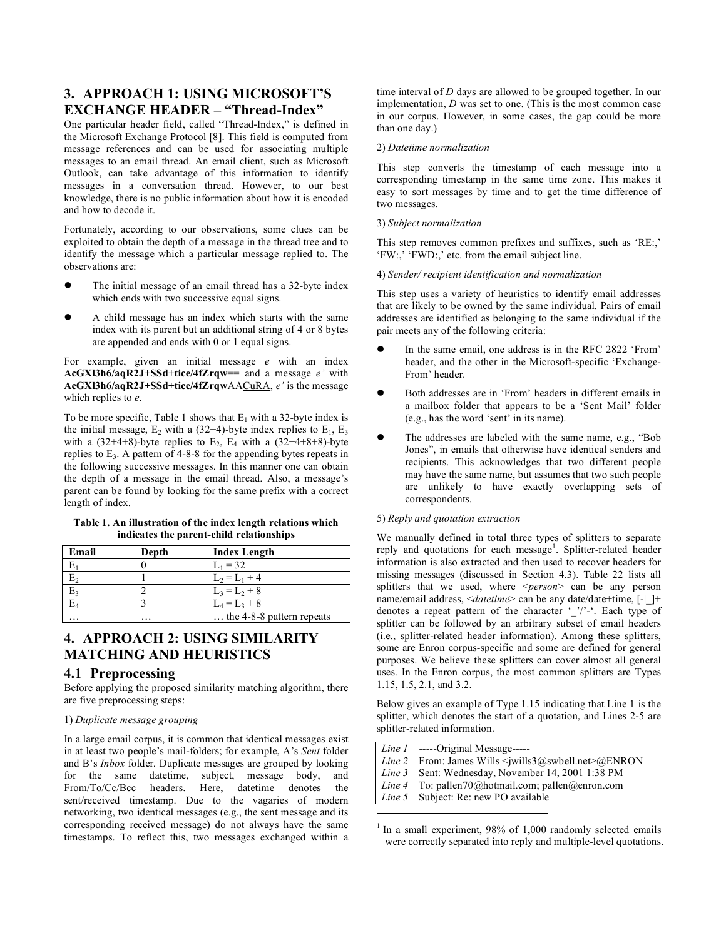# **3. APPROACH 1: USING MICROSOFT'S EXCHANGE HEADER – "Thread-Index"**

One particular header field, called "Thread-Index," is defined in the Microsoft Exchange Protocol [8]. This field is computed from message references and can be used for associating multiple messages to an email thread. An email client, such as Microsoft Outlook, can take advantage of this information to identify messages in a conversation thread. However, to our best knowledge, there is no public information about how it is encoded and how to decode it.

Fortunately, according to our observations, some clues can be exploited to obtain the depth of a message in the thread tree and to identify the message which a particular message replied to. The observations are:

- The initial message of an email thread has a 32-byte index which ends with two successive equal signs.
- A child message has an index which starts with the same index with its parent but an additional string of 4 or 8 bytes are appended and ends with 0 or 1 equal signs.

For example, given an initial message *e* with an index **AcGXl3h6/aqR2J+SSd+tice/4fZrqw**== and a message *e'* with **AcGXl3h6/aqR2J+SSd+tice/4fZrqw**AACuRA, *e'* is the message which replies to *e*.

To be more specific, Table 1 shows that  $E_1$  with a 32-byte index is the initial message,  $E_2$  with a (32+4)-byte index replies to  $E_1$ ,  $E_3$ with a  $(32+4+8)$ -byte replies to E<sub>2</sub>, E<sub>4</sub> with a  $(32+4+8+8)$ -byte replies to  $E_3$ . A pattern of 4-8-8 for the appending bytes repeats in the following successive messages. In this manner one can obtain the depth of a message in the email thread. Also, a message's parent can be found by looking for the same prefix with a correct length of index.

#### **Table 1. An illustration of the index length relations which indicates the parent-child relationships**

| Email                | Depth                | <b>Index Length</b>         |
|----------------------|----------------------|-----------------------------|
|                      |                      | $L_1 = 32$                  |
|                      |                      | $L_2 = L_1 + 4$             |
|                      |                      | $L_3 = L_2 + 8$             |
|                      |                      | $L_4 = L_3 + 8$             |
| $\ddot{\phantom{0}}$ | $\ddot{\phantom{0}}$ | the $4-8-8$ pattern repeats |

# **4. APPROACH 2: USING SIMILARITY MATCHING AND HEURISTICS**

# **4.1 Preprocessing**

Before applying the proposed similarity matching algorithm, there are five preprocessing steps:

#### 1) *Duplicate message grouping*

In a large email corpus, it is common that identical messages exist in at least two people's mail-folders; for example, A's *Sent* folder and B's *Inbox* folder. Duplicate messages are grouped by looking for the same datetime, subject, message body, and From/To/Cc/Bcc headers. Here, datetime denotes the sent/received timestamp. Due to the vagaries of modern networking, two identical messages (e.g., the sent message and its corresponding received message) do not always have the same timestamps. To reflect this, two messages exchanged within a

time interval of *D* days are allowed to be grouped together. In our implementation, *D* was set to one. (This is the most common case in our corpus. However, in some cases, the gap could be more than one day.)

#### 2) *Datetime normalization*

This step converts the timestamp of each message into a corresponding timestamp in the same time zone. This makes it easy to sort messages by time and to get the time difference of two messages.

#### 3) *Subject normalization*

This step removes common prefixes and suffixes, such as 'RE:,' 'FW:,' 'FWD:,' etc. from the email subject line.

#### 4) *Sender/ recipient identification and normalization*

This step uses a variety of heuristics to identify email addresses that are likely to be owned by the same individual. Pairs of email addresses are identified as belonging to the same individual if the pair meets any of the following criteria:

- In the same email, one address is in the RFC 2822 'From' header, and the other in the Microsoft-specific 'Exchange-From' header.
- Both addresses are in 'From' headers in different emails in a mailbox folder that appears to be a 'Sent Mail' folder (e.g., has the word 'sent' in its name).
- The addresses are labeled with the same name, e.g., "Bob Jones", in emails that otherwise have identical senders and recipients. This acknowledges that two different people may have the same name, but assumes that two such people are unlikely to have exactly overlapping sets of correspondents.

#### 5) *Reply and quotation extraction*

We manually defined in total three types of splitters to separate reply and quotations for each message<sup>1</sup>. Splitter-related header information is also extracted and then used to recover headers for missing messages (discussed in Section 4.3). Table 22 lists all splitters that we used, where <*person*> can be any person name/email address, <*datetime*> can be any date/date+time, [-| ]+ denotes a repeat pattern of the character '\_'/'-'. Each type of splitter can be followed by an arbitrary subset of email headers (i.e., splitter-related header information). Among these splitters, some are Enron corpus-specific and some are defined for general purposes. We believe these splitters can cover almost all general uses. In the Enron corpus, the most common splitters are Types 1.15, 1.5, 2.1, and 3.2.

Below gives an example of Type 1.15 indicating that Line 1 is the splitter, which denotes the start of a quotation, and Lines 2-5 are splitter-related information.

| <i>Line 1</i> ------Original Message-----                                  |
|----------------------------------------------------------------------------|
| <i>Line 2</i> From: James Wills $\leq$ wills $3$ @swbell.net $\geq$ @ENRON |
| <i>Line 3</i> Sent: Wednesday, November 14, 2001 1:38 PM                   |
| <i>Line 4</i> To: pallen70@hotmail.com; pallen@enron.com                   |
| Line 5 Subject: Re: new PO available                                       |
|                                                                            |

 $1$  In a small experiment, 98% of 1,000 randomly selected emails were correctly separated into reply and multiple-level quotations.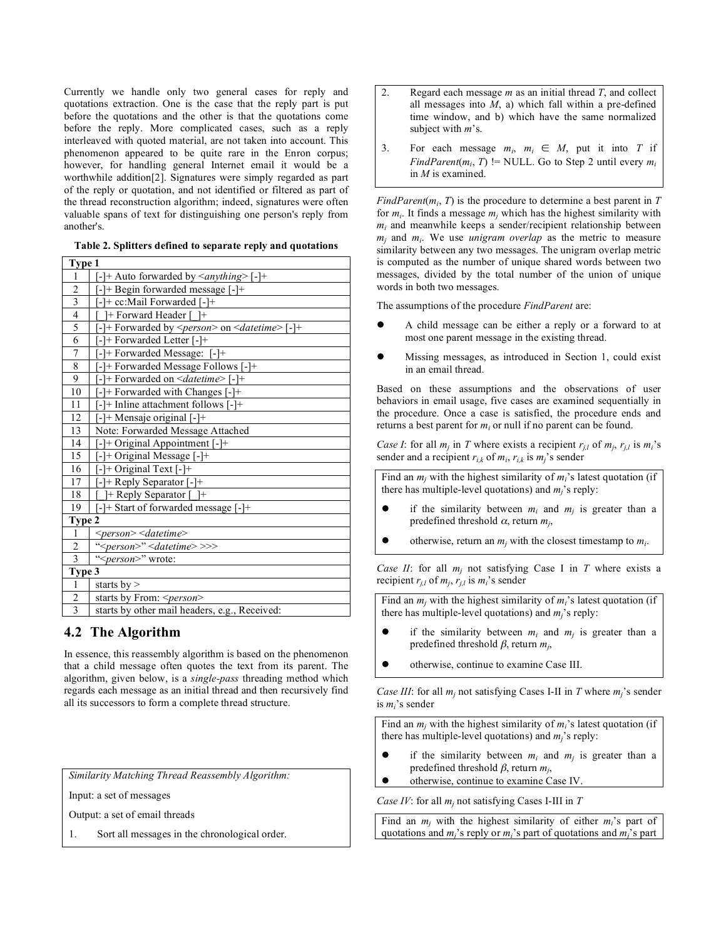Currently we handle only two general cases for reply and quotations extraction. One is the case that the reply part is put before the quotations and the other is that the quotations come before the reply. More complicated cases, such as a reply interleaved with quoted material, are not taken into account. This phenomenon appeared to be quite rare in the Enron corpus; however, for handling general Internet email it would be a worthwhile addition[2]. Signatures were simply regarded as part of the reply or quotation, and not identified or filtered as part of the thread reconstruction algorithm; indeed, signatures were often valuable spans of text for distinguishing one person's reply from another's.

|  |  |  | Table 2. Splitters defined to separate reply and quotations |
|--|--|--|-------------------------------------------------------------|
|  |  |  |                                                             |

| Type 1         |                                                                  |
|----------------|------------------------------------------------------------------|
| 1              | [-]+ Auto forwarded by <anything> [-]+</anything>                |
| $\overline{c}$ | [-]+ Begin forwarded message [-]+                                |
| $\overline{3}$ | [-]+ cc:Mail Forwarded [-]+                                      |
| $\overline{4}$ | <sup>1+</sup> Forward Header [ <sup>1+</sup>                     |
| 5              | $[-]$ + Forwarded by $\leq person$ > on $\leq$ datetime> $[-]$ + |
| $\overline{6}$ | [-]+ Forwarded Letter [-]+                                       |
| $\sqrt{ }$     | [-]+ Forwarded Message: [-]+                                     |
| $\sqrt{8}$     | [-]+ Forwarded Message Follows [-]+                              |
| 9              | $[-]$ + Forwarded on $\le$ <i>datetime</i> > [-]+                |
| 10             | [-]+ Forwarded with Changes [-]+                                 |
| 11             | $[-]$ + Inline attachment follows $[-]$ +                        |
| 12             | [-]+ Mensaje original [-]+                                       |
| 13             | Note: Forwarded Message Attached                                 |
| 14             | [-]+ Original Appointment [-]+                                   |
| 15             | [-]+ Original Message [-]+                                       |
| 16             | $[-] + Original Text [-] +$                                      |
| 17             | --]+ Reply Separator [-]+                                        |
| 18             | $\left +\right $ Reply Separator $\left +\right $                |
| 19             | [-]+ Start of forwarded message [-]+                             |
| Type 2         |                                                                  |
| $\mathbf{1}$   | <person> <datetime></datetime></person>                          |
| $\sqrt{2}$     | " <person>" <datetime>&gt;&gt;&gt;</datetime></person>           |
| $\overline{3}$ | " <person>" wrote:</person>                                      |
| Type 3         |                                                                  |
| $\mathbf{1}$   | starts by $>$                                                    |
| $\overline{c}$ | starts by From: <person></person>                                |
| $\overline{3}$ | starts by other mail headers, e.g., Received:                    |

# **4.2 The Algorithm**

In essence, this reassembly algorithm is based on the phenomenon that a child message often quotes the text from its parent. The algorithm, given below, is a *single-pass* threading method which regards each message as an initial thread and then recursively find all its successors to form a complete thread structure.

*Similarity Matching Thread Reassembly Algorithm:*

Input: a set of messages

Output: a set of email threads

1. Sort all messages in the chronological order.

- 2. Regard each message *m* as an initial thread *T*, and collect all messages into *M*, a) which fall within a pre-defined time window, and b) which have the same normalized subject with *m*'s.
- 3. For each message  $m_i$ ,  $m_i \in M$ , put it into *T* if *FindParent*( $m_i$ ,  $T$ ) != NULL. Go to Step 2 until every  $m_i$ in *M* is examined.

*FindParent*( $m_i$ ,  $T$ ) is the procedure to determine a best parent in  $T$ for  $m_i$ . It finds a message  $m_i$  which has the highest similarity with  $m<sub>i</sub>$  and meanwhile keeps a sender/recipient relationship between *mj* and *mi*. We use *unigram overlap* as the metric to measure similarity between any two messages. The unigram overlap metric is computed as the number of unique shared words between two messages, divided by the total number of the union of unique words in both two messages.

The assumptions of the procedure *FindParent* are:

- A child message can be either a reply or a forward to at most one parent message in the existing thread.
- Missing messages, as introduced in Section 1, could exist in an email thread.

Based on these assumptions and the observations of user behaviors in email usage, five cases are examined sequentially in the procedure. Once a case is satisfied, the procedure ends and returns a best parent for  $m_i$  or null if no parent can be found.

*Case I*: for all  $m_j$  in *T* where exists a recipient  $r_{j,l}$  of  $m_j$ ,  $r_{j,l}$  is  $m_i$ 's sender and a recipient  $r_{i,k}$  of  $m_i$ ,  $r_{i,k}$  is  $m_j$ 's sender

Find an  $m_i$  with the highest similarity of  $m_i$ 's latest quotation (if there has multiple-level quotations) and  $m_i$ 's reply:

- if the similarity between  $m_i$  and  $m_j$  is greater than a predefined threshold  $\alpha$ , return  $m_i$ ,
- otherwise, return an  $m_i$  with the closest timestamp to  $m_i$ .

*Case II*: for all  $m_i$  not satisfying Case I in *T* where exists a recipient  $r_{j,l}$  of  $m_j$ ,  $r_{j,l}$  is  $m_i$ 's sender

Find an  $m_i$  with the highest similarity of  $m_i$ 's latest quotation (if there has multiple-level quotations) and *mj*'s reply:

- if the similarity between  $m_i$  and  $m_j$  is greater than a predefined threshold β, return *mj*,
- otherwise, continue to examine Case III.

*Case III*: for all  $m_i$  not satisfying Cases I-II in *T* where  $m_i$ 's sender is *mi*'s sender

Find an  $m_i$  with the highest similarity of  $m_i$ 's latest quotation (if there has multiple-level quotations) and *mj*'s reply:

- if the similarity between  $m_i$  and  $m_j$  is greater than a predefined threshold β, return *mj*,
- otherwise, continue to examine Case IV.

*Case IV*: for all *mj* not satisfying Cases I-III in *T*

Find an  $m_i$  with the highest similarity of either  $m_i$ 's part of quotations and *mj*'s reply or *mi*'s part of quotations and *mj*'s part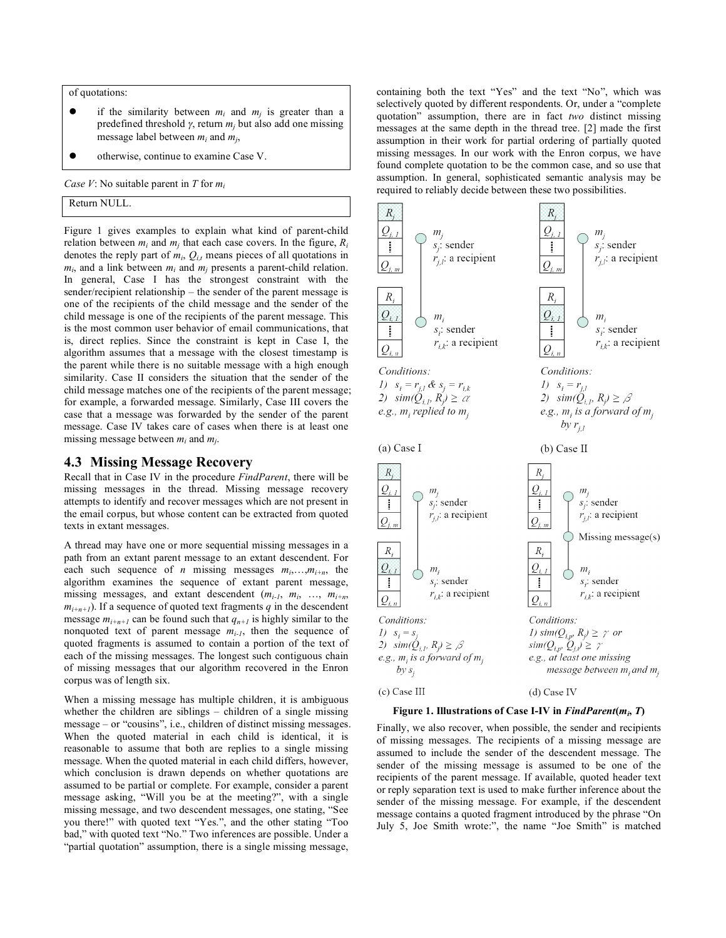of quotations:

- if the similarity between  $m_i$  and  $m_j$  is greater than a predefined threshold  $γ$ , return  $m<sub>j</sub>$  but also add one missing message label between  $m_i$  and  $m_j$ ,
- otherwise, continue to examine Case V.

*Case V*: No suitable parent in *T* for *mi*

Return NULL.

Figure 1 gives examples to explain what kind of parent-child relation between  $m_i$  and  $m_j$  that each case covers. In the figure,  $R_i$ denotes the reply part of  $m_i$ ,  $Q_{i,t}$  means pieces of all quotations in  $m_i$ , and a link between  $m_i$  and  $m_j$  presents a parent-child relation. In general, Case I has the strongest constraint with the sender/recipient relationship – the sender of the parent message is one of the recipients of the child message and the sender of the child message is one of the recipients of the parent message. This is the most common user behavior of email communications, that is, direct replies. Since the constraint is kept in Case I, the algorithm assumes that a message with the closest timestamp is the parent while there is no suitable message with a high enough similarity. Case II considers the situation that the sender of the child message matches one of the recipients of the parent message; for example, a forwarded message. Similarly, Case III covers the case that a message was forwarded by the sender of the parent message. Case IV takes care of cases when there is at least one missing message between *mi* and *mj*.

## **4.3 Missing Message Recovery**

Recall that in Case IV in the procedure *FindParent*, there will be missing messages in the thread. Missing message recovery attempts to identify and recover messages which are not present in the email corpus, but whose content can be extracted from quoted texts in extant messages.

A thread may have one or more sequential missing messages in a path from an extant parent message to an extant descendent. For each such sequence of *n* missing messages  $m_i$ ,..., $m_{i+n}$ , the algorithm examines the sequence of extant parent message, missing messages, and extant descendent (*mi-1*, *mi*, …, *mi+n*,  $m_{i+n+1}$ ). If a sequence of quoted text fragments *q* in the descendent message  $m_{i+n+1}$  can be found such that  $q_{n+1}$  is highly similar to the nonquoted text of parent message  $m_{i-1}$ , then the sequence of quoted fragments is assumed to contain a portion of the text of each of the missing messages. The longest such contiguous chain of missing messages that our algorithm recovered in the Enron corpus was of length six.

When a missing message has multiple children, it is ambiguous whether the children are siblings – children of a single missing message – or "cousins", i.e., children of distinct missing messages. When the quoted material in each child is identical, it is reasonable to assume that both are replies to a single missing message. When the quoted material in each child differs, however, which conclusion is drawn depends on whether quotations are assumed to be partial or complete. For example, consider a parent message asking, "Will you be at the meeting?", with a single missing message, and two descendent messages, one stating, "See you there!" with quoted text "Yes.", and the other stating "Too bad," with quoted text "No." Two inferences are possible. Under a "partial quotation" assumption, there is a single missing message,

containing both the text "Yes" and the text "No", which was selectively quoted by different respondents. Or, under a "complete quotation" assumption, there are in fact *two* distinct missing messages at the same depth in the thread tree. [2] made the first assumption in their work for partial ordering of partially quoted missing messages. In our work with the Enron corpus, we have found complete quotation to be the common case, and so use that assumption. In general, sophisticated semantic analysis may be required to reliably decide between these two possibilities.



**Figure 1. Illustrations of Case I-IV in** *FindParent***(***mi***,** *T***)**

Finally, we also recover, when possible, the sender and recipients of missing messages. The recipients of a missing message are assumed to include the sender of the descendent message. The sender of the missing message is assumed to be one of the recipients of the parent message. If available, quoted header text or reply separation text is used to make further inference about the sender of the missing message. For example, if the descendent message contains a quoted fragment introduced by the phrase "On July 5, Joe Smith wrote:", the name "Joe Smith" is matched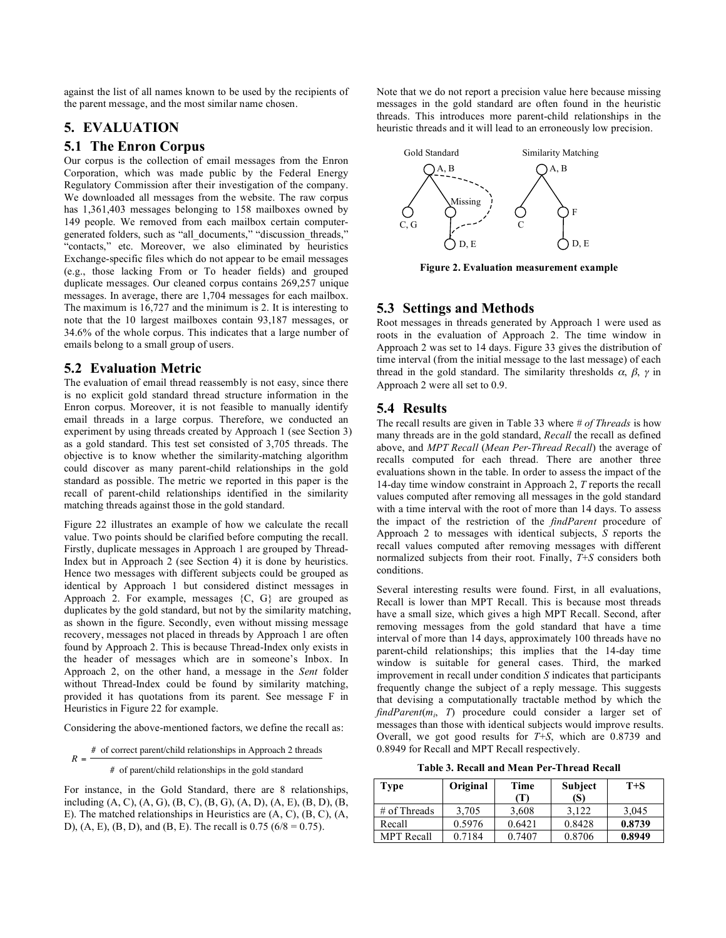against the list of all names known to be used by the recipients of the parent message, and the most similar name chosen.

# **5. EVALUATION**

## **5.1 The Enron Corpus**

Our corpus is the collection of email messages from the Enron Corporation, which was made public by the Federal Energy Regulatory Commission after their investigation of the company. We downloaded all messages from the website. The raw corpus has 1,361,403 messages belonging to 158 mailboxes owned by 149 people. We removed from each mailbox certain computergenerated folders, such as "all\_documents," "discussion\_threads," "contacts," etc. Moreover, we also eliminated by heuristics Exchange-specific files which do not appear to be email messages (e.g., those lacking From or To header fields) and grouped duplicate messages. Our cleaned corpus contains 269,257 unique messages. In average, there are 1,704 messages for each mailbox. The maximum is 16,727 and the minimum is 2. It is interesting to note that the 10 largest mailboxes contain 93,187 messages, or 34.6% of the whole corpus. This indicates that a large number of emails belong to a small group of users.

# **5.2 Evaluation Metric**

The evaluation of email thread reassembly is not easy, since there is no explicit gold standard thread structure information in the Enron corpus. Moreover, it is not feasible to manually identify email threads in a large corpus. Therefore, we conducted an experiment by using threads created by Approach 1 (see Section 3) as a gold standard. This test set consisted of 3,705 threads. The objective is to know whether the similarity-matching algorithm could discover as many parent-child relationships in the gold standard as possible. The metric we reported in this paper is the recall of parent-child relationships identified in the similarity matching threads against those in the gold standard.

Figure 22 illustrates an example of how we calculate the recall value. Two points should be clarified before computing the recall. Firstly, duplicate messages in Approach 1 are grouped by Thread-Index but in Approach 2 (see Section 4) it is done by heuristics. Hence two messages with different subjects could be grouped as identical by Approach 1 but considered distinct messages in Approach 2. For example, messages {C, G} are grouped as duplicates by the gold standard, but not by the similarity matching, as shown in the figure. Secondly, even without missing message recovery, messages not placed in threads by Approach 1 are often found by Approach 2. This is because Thread-Index only exists in the header of messages which are in someone's Inbox. In Approach 2, on the other hand, a message in the *Sent* folder without Thread-Index could be found by similarity matching, provided it has quotations from its parent. See message F in Heuristics in Figure 22 for example.

Considering the above-mentioned factors, we define the recall as:

 $R =$ # of correct parent/child relationships in Approach 2 threads

# of parent/child relationships in the gold standard

For instance, in the Gold Standard, there are 8 relationships, including (A, C), (A, G), (B, C), (B, G), (A, D), (A, E), (B, D), (B, E). The matched relationships in Heuristics are (A, C), (B, C), (A, D), (A, E), (B, D), and (B, E). The recall is  $0.75$  ( $6/8 = 0.75$ ).

Note that we do not report a precision value here because missing messages in the gold standard are often found in the heuristic threads. This introduces more parent-child relationships in the heuristic threads and it will lead to an erroneously low precision.



**Figure 2. Evaluation measurement example**

# **5.3 Settings and Methods**

Root messages in threads generated by Approach 1 were used as roots in the evaluation of Approach 2. The time window in Approach 2 was set to 14 days. Figure 33 gives the distribution of time interval (from the initial message to the last message) of each thread in the gold standard. The similarity thresholds  $\alpha$ ,  $\beta$ ,  $\gamma$  in Approach 2 were all set to 0.9.

## **5.4 Results**

The recall results are given in Table 33 where *# of Threads* is how many threads are in the gold standard, *Recall* the recall as defined above, and *MPT Recall* (*Mean Per-Thread Recall*) the average of recalls computed for each thread. There are another three evaluations shown in the table. In order to assess the impact of the 14-day time window constraint in Approach 2, *T* reports the recall values computed after removing all messages in the gold standard with a time interval with the root of more than 14 days. To assess the impact of the restriction of the *findParent* procedure of Approach 2 to messages with identical subjects, *S* reports the recall values computed after removing messages with different normalized subjects from their root. Finally, *T*+*S* considers both conditions.

Several interesting results were found. First, in all evaluations, Recall is lower than MPT Recall. This is because most threads have a small size, which gives a high MPT Recall. Second, after removing messages from the gold standard that have a time interval of more than 14 days, approximately 100 threads have no parent-child relationships; this implies that the 14-day time window is suitable for general cases. Third, the marked improvement in recall under condition *S* indicates that participants frequently change the subject of a reply message. This suggests that devising a computationally tractable method by which the *findParent*(*mi*, *T*) procedure could consider a larger set of messages than those with identical subjects would improve results. Overall, we got good results for *T*+*S*, which are 0.8739 and 0.8949 for Recall and MPT Recall respectively.

**Table 3. Recall and Mean Per-Thread Recall**

| <b>Type</b>       | Original | Time   | <b>Subject</b> | $T + S$ |  |
|-------------------|----------|--------|----------------|---------|--|
|                   |          | (T)    | (S)            |         |  |
| $#$ of Threads    | 3.705    | 3,608  | 3.122          | 3,045   |  |
| Recall            | 0.5976   | 0.6421 | 0.8428         | 0.8739  |  |
| <b>MPT</b> Recall | 0.7184   | 0.7407 | 0.8706         | 0.8949  |  |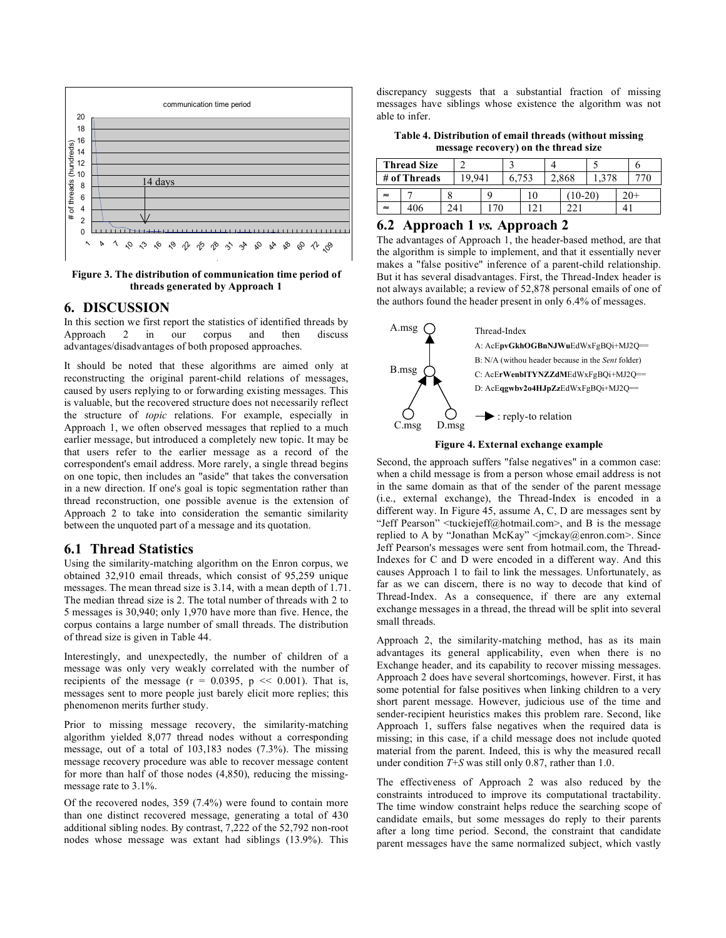

**Figure 3. The distribution of communication time period of threads generated by Approach 1**

# **6. DISCUSSION**

In this section we first report the statistics of identified threads by Approach 2 in our corpus and then discuss advantages/disadvantages of both proposed approaches.

It should be noted that these algorithms are aimed only at reconstructing the original parent-child relations of messages, caused by users replying to or forwarding existing messages. This is valuable, but the recovered structure does not necessarily reflect the structure of *topic* relations. For example, especially in Approach 1, we often observed messages that replied to a much earlier message, but introduced a completely new topic. It may be that users refer to the earlier message as a record of the correspondent's email address. More rarely, a single thread begins on one topic, then includes an "aside" that takes the conversation in a new direction. If one's goal is topic segmentation rather than thread reconstruction, one possible avenue is the extension of Approach 2 to take into consideration the semantic similarity between the unquoted part of a message and its quotation.

## **6.1 Thread Statistics**

Using the similarity-matching algorithm on the Enron corpus, we obtained 32,910 email threads, which consist of 95,259 unique messages. The mean thread size is 3.14, with a mean depth of 1.71. The median thread size is 2. The total number of threads with 2 to 5 messages is 30,940; only 1,970 have more than five. Hence, the corpus contains a large number of small threads. The distribution of thread size is given in Table 44.

Interestingly, and unexpectedly, the number of children of a message was only very weakly correlated with the number of recipients of the message ( $r = 0.0395$ ,  $p \ll 0.001$ ). That is, messages sent to more people just barely elicit more replies; this phenomenon merits further study.

Prior to missing message recovery, the similarity-matching algorithm yielded 8,077 thread nodes without a corresponding message, out of a total of 103,183 nodes (7.3%). The missing message recovery procedure was able to recover message content for more than half of those nodes (4,850), reducing the missingmessage rate to 3.1%.

Of the recovered nodes, 359 (7.4%) were found to contain more than one distinct recovered message, generating a total of 430 additional sibling nodes. By contrast, 7,222 of the 52,792 non-root nodes whose message was extant had siblings (13.9%). This

discrepancy suggests that a substantial fraction of missing messages have siblings whose existence the algorithm was not able to infer.

**Table 4. Distribution of email threads (without missing message recovery) on the thread size**

| <b>Thread Size</b> |     |       |     |    |  |       |           |  |  |  |  |
|--------------------|-----|-------|-----|----|--|-------|-----------|--|--|--|--|
| # of Threads       |     | 9.941 |     |    |  | 2,868 |           |  |  |  |  |
| $\approx$          |     |       |     |    |  |       | $10 - 20$ |  |  |  |  |
| $\approx$          | 406 |       | 241 | 70 |  |       |           |  |  |  |  |

## **6.2 Approach 1** *vs.* **Approach 2**

The advantages of Approach 1, the header-based method, are that the algorithm is simple to implement, and that it essentially never makes a "false positive" inference of a parent-child relationship. But it has several disadvantages. First, the Thread-Index header is not always available; a review of 52,878 personal emails of one of the authors found the header present in only 6.4% of messages.



#### **Figure 4. External exchange example**

Second, the approach suffers "false negatives" in a common case: when a child message is from a person whose email address is not in the same domain as that of the sender of the parent message (i.e., external exchange), the Thread-Index is encoded in a different way. In Figure 45, assume A, C, D are messages sent by "Jeff Pearson"  $\leq$ tuckiejeff@hotmail.com>, and B is the message replied to A by "Jonathan McKay" <jmckay@enron.com>. Since Jeff Pearson's messages were sent from hotmail.com, the Thread-Indexes for C and D were encoded in a different way. And this causes Approach 1 to fail to link the messages. Unfortunately, as far as we can discern, there is no way to decode that kind of Thread-Index. As a consequence, if there are any external exchange messages in a thread, the thread will be split into several small threads.

Approach 2, the similarity-matching method, has as its main advantages its general applicability, even when there is no Exchange header, and its capability to recover missing messages. Approach 2 does have several shortcomings, however. First, it has some potential for false positives when linking children to a very short parent message. However, judicious use of the time and sender-recipient heuristics makes this problem rare. Second, like Approach 1, suffers false negatives when the required data is missing; in this case, if a child message does not include quoted material from the parent. Indeed, this is why the measured recall under condition *T*+*S* was still only 0.87, rather than 1.0.

The effectiveness of Approach 2 was also reduced by the constraints introduced to improve its computational tractability. The time window constraint helps reduce the searching scope of candidate emails, but some messages do reply to their parents after a long time period. Second, the constraint that candidate parent messages have the same normalized subject, which vastly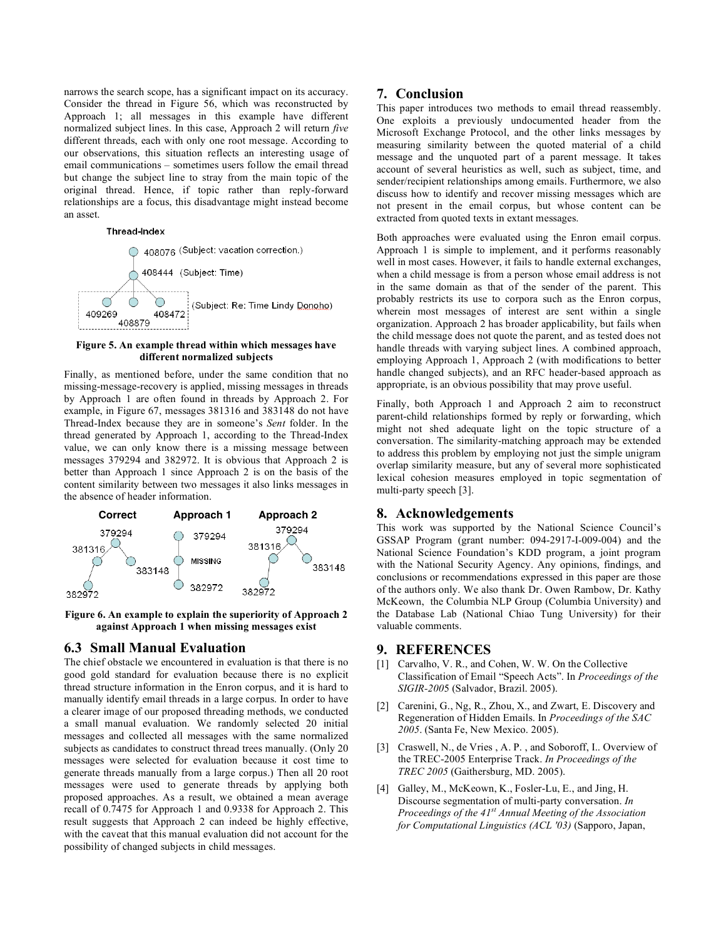narrows the search scope, has a significant impact on its accuracy. Consider the thread in Figure 56, which was reconstructed by Approach 1; all messages in this example have different normalized subject lines. In this case, Approach 2 will return *five* different threads, each with only one root message. According to our observations, this situation reflects an interesting usage of email communications – sometimes users follow the email thread but change the subject line to stray from the main topic of the original thread. Hence, if topic rather than reply-forward relationships are a focus, this disadvantage might instead become an asset.

#### **Thread-Index**



#### **Figure 5. An example thread within which messages have different normalized subjects**

Finally, as mentioned before, under the same condition that no missing-message-recovery is applied, missing messages in threads by Approach 1 are often found in threads by Approach 2. For example, in Figure 67, messages 381316 and 383148 do not have Thread-Index because they are in someone's *Sent* folder. In the thread generated by Approach 1, according to the Thread-Index value, we can only know there is a missing message between messages 379294 and 382972. It is obvious that Approach 2 is better than Approach 1 since Approach 2 is on the basis of the content similarity between two messages it also links messages in the absence of header information.





## **6.3 Small Manual Evaluation**

The chief obstacle we encountered in evaluation is that there is no good gold standard for evaluation because there is no explicit thread structure information in the Enron corpus, and it is hard to manually identify email threads in a large corpus. In order to have a clearer image of our proposed threading methods, we conducted a small manual evaluation. We randomly selected 20 initial messages and collected all messages with the same normalized subjects as candidates to construct thread trees manually. (Only 20 messages were selected for evaluation because it cost time to generate threads manually from a large corpus.) Then all 20 root messages were used to generate threads by applying both proposed approaches. As a result, we obtained a mean average recall of 0.7475 for Approach 1 and 0.9338 for Approach 2. This result suggests that Approach 2 can indeed be highly effective, with the caveat that this manual evaluation did not account for the possibility of changed subjects in child messages.

#### **7. Conclusion**

This paper introduces two methods to email thread reassembly. One exploits a previously undocumented header from the Microsoft Exchange Protocol, and the other links messages by measuring similarity between the quoted material of a child message and the unquoted part of a parent message. It takes account of several heuristics as well, such as subject, time, and sender/recipient relationships among emails. Furthermore, we also discuss how to identify and recover missing messages which are not present in the email corpus, but whose content can be extracted from quoted texts in extant messages.

Both approaches were evaluated using the Enron email corpus. Approach 1 is simple to implement, and it performs reasonably well in most cases. However, it fails to handle external exchanges, when a child message is from a person whose email address is not in the same domain as that of the sender of the parent. This probably restricts its use to corpora such as the Enron corpus, wherein most messages of interest are sent within a single organization. Approach 2 has broader applicability, but fails when the child message does not quote the parent, and as tested does not handle threads with varying subject lines. A combined approach, employing Approach 1, Approach 2 (with modifications to better handle changed subjects), and an RFC header-based approach as appropriate, is an obvious possibility that may prove useful.

Finally, both Approach 1 and Approach 2 aim to reconstruct parent-child relationships formed by reply or forwarding, which might not shed adequate light on the topic structure of a conversation. The similarity-matching approach may be extended to address this problem by employing not just the simple unigram overlap similarity measure, but any of several more sophisticated lexical cohesion measures employed in topic segmentation of multi-party speech [3].

## **8. Acknowledgements**

This work was supported by the National Science Council's GSSAP Program (grant number: 094-2917-I-009-004) and the National Science Foundation's KDD program, a joint program with the National Security Agency. Any opinions, findings, and conclusions or recommendations expressed in this paper are those of the authors only. We also thank Dr. Owen Rambow, Dr. Kathy McKeown, the Columbia NLP Group (Columbia University) and the Database Lab (National Chiao Tung University) for their valuable comments.

## **9. REFERENCES**

- [1] Carvalho, V. R., and Cohen, W. W. On the Collective Classification of Email "Speech Acts". In *Proceedings of the SIGIR-200*5 (Salvador, Brazil. 2005).
- [2] Carenini, G., Ng, R., Zhou, X., and Zwart, E. Discovery and Regeneration of Hidden Emails. In *Proceedings of the SAC 2005*. (Santa Fe, New Mexico. 2005).
- [3] Craswell, N., de Vries, A. P., and Soboroff, I.. Overview of the TREC-2005 Enterprise Track. *In Proceedings of the TREC 2005* (Gaithersburg, MD. 2005).
- [4] Galley, M., McKeown, K., Fosler-Lu, E., and Jing, H. Discourse segmentation of multi-party conversation. *In Proceedings of the 41st Annual Meeting of the Association for Computational Linguistics (ACL '03)* (Sapporo, Japan,